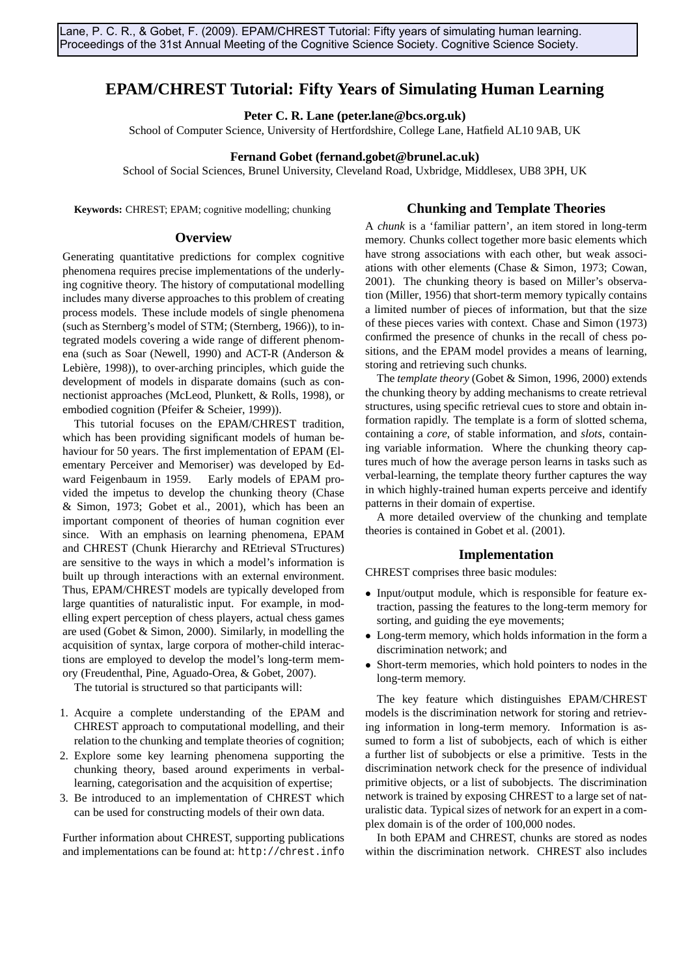# **EPAM/CHREST Tutorial: Fifty Years of Simulating Human Learning**

**Peter C. R. Lane (peter.lane@bcs.org.uk)**

School of Computer Science, University of Hertfordshire, College Lane, Hatfield AL10 9AB, UK

### **Fernand Gobet (fernand.gobet@brunel.ac.uk)**

School of Social Sciences, Brunel University, Cleveland Road, Uxbridge, Middlesex, UB8 3PH, UK

**Keywords:** CHREST; EPAM; cognitive modelling; chunking

# **Chunking and Template Theories**

#### **Overview**

Generating quantitative predictions for complex cognitive phenomena requires precise implementations of the underlying cognitive theory. The history of computational modelling includes many diverse approaches to this problem of creating process models. These include models of single phenomena (such as Sternberg's model of STM; (Sternberg, 1966)), to integrated models covering a wide range of different phenomena (such as Soar (Newell, 1990) and ACT-R (Anderson & Lebière, 1998)), to over-arching principles, which guide the development of models in disparate domains (such as connectionist approaches (McLeod, Plunkett, & Rolls, 1998), or embodied cognition (Pfeifer & Scheier, 1999)).

This tutorial focuses on the EPAM/CHREST tradition, which has been providing significant models of human behaviour for 50 years. The first implementation of EPAM (Elementary Perceiver and Memoriser) was developed by Edward Feigenbaum in 1959. Early models of EPAM provided the impetus to develop the chunking theory (Chase & Simon, 1973; Gobet et al., 2001), which has been an important component of theories of human cognition ever since. With an emphasis on learning phenomena, EPAM and CHREST (Chunk Hierarchy and REtrieval STructures) are sensitive to the ways in which a model's information is built up through interactions with an external environment. Thus, EPAM/CHREST models are typically developed from large quantities of naturalistic input. For example, in modelling expert perception of chess players, actual chess games are used (Gobet & Simon, 2000). Similarly, in modelling the acquisition of syntax, large corpora of mother-child interactions are employed to develop the model's long-term memory (Freudenthal, Pine, Aguado-Orea, & Gobet, 2007).

The tutorial is structured so that participants will:

- 1. Acquire a complete understanding of the EPAM and CHREST approach to computational modelling, and their relation to the chunking and template theories of cognition;
- 2. Explore some key learning phenomena supporting the chunking theory, based around experiments in verballearning, categorisation and the acquisition of expertise;
- 3. Be introduced to an implementation of CHREST which can be used for constructing models of their own data.

Further information about CHREST, supporting publications and implementations can be found at: http://chrest.info

A *chunk* is a 'familiar pattern', an item stored in long-term memory. Chunks collect together more basic elements which have strong associations with each other, but weak associations with other elements (Chase & Simon, 1973; Cowan, 2001). The chunking theory is based on Miller's observation (Miller, 1956) that short-term memory typically contains a limited number of pieces of information, but that the size of these pieces varies with context. Chase and Simon (1973) confirmed the presence of chunks in the recall of chess positions, and the EPAM model provides a means of learning, storing and retrieving such chunks.

The *template theory* (Gobet & Simon, 1996, 2000) extends the chunking theory by adding mechanisms to create retrieval structures, using specific retrieval cues to store and obtain information rapidly. The template is a form of slotted schema, containing a *core*, of stable information, and *slots*, containing variable information. Where the chunking theory captures much of how the average person learns in tasks such as verbal-learning, the template theory further captures the way in which highly-trained human experts perceive and identify patterns in their domain of expertise.

A more detailed overview of the chunking and template theories is contained in Gobet et al. (2001).

### **Implementation**

CHREST comprises three basic modules:

- Input/output module, which is responsible for feature extraction, passing the features to the long-term memory for sorting, and guiding the eye movements;
- Long-term memory, which holds information in the form a discrimination network; and
- Short-term memories, which hold pointers to nodes in the long-term memory.

The key feature which distinguishes EPAM/CHREST models is the discrimination network for storing and retrieving information in long-term memory. Information is assumed to form a list of subobjects, each of which is either a further list of subobjects or else a primitive. Tests in the discrimination network check for the presence of individual primitive objects, or a list of subobjects. The discrimination network is trained by exposing CHREST to a large set of naturalistic data. Typical sizes of network for an expert in a complex domain is of the order of 100,000 nodes.

In both EPAM and CHREST, chunks are stored as nodes within the discrimination network. CHREST also includes